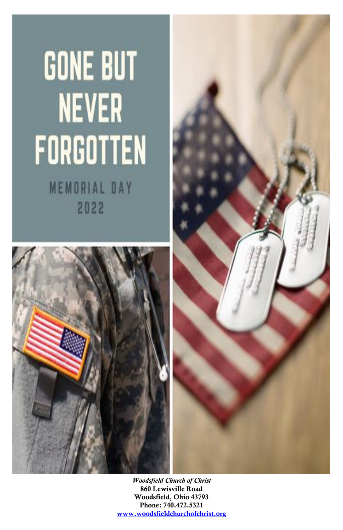# **GONE BUT NEVER** FORGOTTEN

**MEMORIAL DAY** 2022





*Woodsfield Church of Christ* 860 Lewisville Road Woodsfield, Ohio 43793 Phone: 740.472.5321 [www.woodsfieldchurchofchrist.org](http://www.woodsfieldchurchofchrist.org/)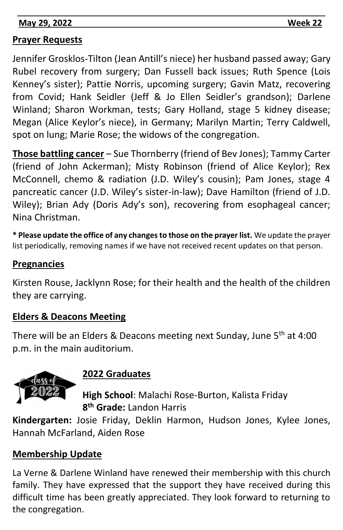**May 29, 2022 Week 22** 

#### **Prayer Requests**

Jennifer Grosklos-Tilton (Jean Antill's niece) her husband passed away; Gary Rubel recovery from surgery; Dan Fussell back issues; Ruth Spence (Lois Kenney's sister); Pattie Norris, upcoming surgery; Gavin Matz, recovering from Covid; Hank Seidler (Jeff & Jo Ellen Seidler's grandson); Darlene Winland; Sharon Workman, tests; Gary Holland, stage 5 kidney disease; Megan (Alice Keylor's niece), in Germany; Marilyn Martin; Terry Caldwell, spot on lung; Marie Rose; the widows of the congregation.

**MEMBER IN PRAYER**

**Those battling cancer** – Sue Thornberry (friend of Bev Jones); Tammy Carter (friend of John Ackerman); Misty Robinson (friend of Alice Keylor); Rex McConnell, chemo & radiation (J.D. Wiley's cousin); Pam Jones, stage 4 pancreatic cancer (J.D. Wiley's sister-in-law); Dave Hamilton (friend of J.D. Wiley); Brian Ady (Doris Ady's son), recovering from esophageal cancer; Nina Christman.

**\* Please update the office of any changes to those on the prayer list.** We update the prayer list periodically, removing names if we have not received recent updates on that person.

#### **Pregnancies**

Kirsten Rouse, Jacklynn Rose; for their health and the health of the children they are carrying.

#### **Elders & Deacons Meeting**

There will be an Elders & Deacons meeting next Sunday, June 5<sup>th</sup> at 4:00 p.m. in the main auditorium.



#### **2022 Graduates**

**High School**: Malachi Rose-Burton, Kalista Friday **8 th Grade:** Landon Harris

**Kindergarten:** Josie Friday, Deklin Harmon, Hudson Jones, Kylee Jones, Hannah McFarland, Aiden Rose

#### **Membership Update**

La Verne & Darlene Winland have renewed their membership with this church family. They have expressed that the support they have received during this difficult time has been greatly appreciated. They look forward to returning to the congregation.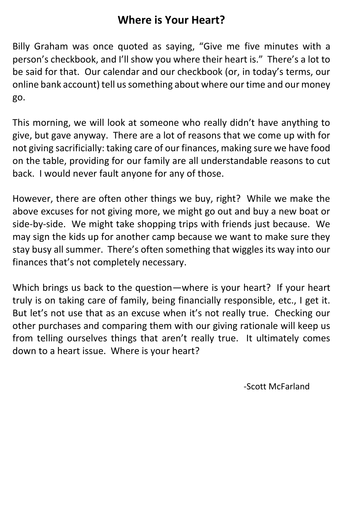### **Where is Your Heart?**

Billy Graham was once quoted as saying, "Give me five minutes with a person's checkbook, and I'll show you where their heart is." There's a lot to be said for that. Our calendar and our checkbook (or, in today's terms, our online bank account) tell us something about where our time and our money go.

This morning, we will look at someone who really didn't have anything to give, but gave anyway. There are a lot of reasons that we come up with for not giving sacrificially: taking care of our finances, making sure we have food on the table, providing for our family are all understandable reasons to cut back. I would never fault anyone for any of those.

However, there are often other things we buy, right? While we make the above excuses for not giving more, we might go out and buy a new boat or side-by-side. We might take shopping trips with friends just because. We may sign the kids up for another camp because we want to make sure they stay busy all summer. There's often something that wiggles its way into our finances that's not completely necessary.

Which brings us back to the question—where is your heart? If your heart truly is on taking care of family, being financially responsible, etc., I get it. But let's not use that as an excuse when it's not really true. Checking our other purchases and comparing them with our giving rationale will keep us from telling ourselves things that aren't really true. It ultimately comes down to a heart issue. Where is your heart?

-Scott McFarland